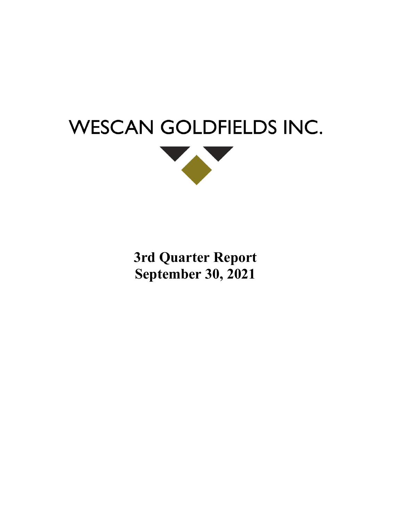



**3rd Quarter Report September 30, 2021**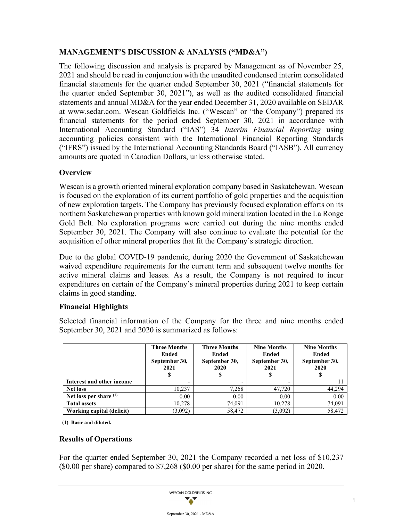## **MANAGEMENT'S DISCUSSION & ANALYSIS ("MD&A")**

The following discussion and analysis is prepared by Management as of November 25, 2021 and should be read in conjunction with the unaudited condensed interim consolidated financial statements for the quarter ended September 30, 2021 ("financial statements for the quarter ended September 30, 2021"), as well as the audited consolidated financial statements and annual MD&A for the year ended December 31, 2020 available on SEDAR at [www.sedar.com.](http://www.sedar.com/) Wescan Goldfields Inc. ("Wescan" or "the Company") prepared its financial statements for the period ended September 30, 2021 in accordance with International Accounting Standard ("IAS") 34 *Interim Financial Reporting* using accounting policies consistent with the International Financial Reporting Standards ("IFRS") issued by the International Accounting Standards Board ("IASB"). All currency amounts are quoted in Canadian Dollars, unless otherwise stated.

### **Overview**

Wescan is a growth oriented mineral exploration company based in Saskatchewan. Wescan is focused on the exploration of its current portfolio of gold properties and the acquisition of new exploration targets. The Company has previously focused exploration efforts on its northern Saskatchewan properties with known gold mineralization located in the La Ronge Gold Belt. No exploration programs were carried out during the nine months ended September 30, 2021. The Company will also continue to evaluate the potential for the acquisition of other mineral properties that fit the Company's strategic direction.

Due to the global COVID-19 pandemic, during 2020 the Government of Saskatchewan waived expenditure requirements for the current term and subsequent twelve months for active mineral claims and leases. As a result, the Company is not required to incur expenditures on certain of the Company's mineral properties during 2021 to keep certain claims in good standing.

# **Financial Highlights**

Selected financial information of the Company for the three and nine months ended September 30, 2021 and 2020 is summarized as follows:

|                           | <b>Three Months</b><br>Ended<br>September 30,<br>2021 | <b>Three Months</b><br>Ended<br>September 30,<br>2020 | <b>Nine Months</b><br>Ended<br>September 30,<br>2021 | <b>Nine Months</b><br>Ended<br>September 30,<br>2020 |  |  |
|---------------------------|-------------------------------------------------------|-------------------------------------------------------|------------------------------------------------------|------------------------------------------------------|--|--|
| Interest and other income |                                                       |                                                       |                                                      |                                                      |  |  |
| <b>Net loss</b>           | 10,237                                                | 7,268                                                 | 47,720                                               | 44.294                                               |  |  |
| Net loss per share (1)    | 0.00                                                  | 0.00                                                  | 0.00                                                 | 0.00                                                 |  |  |
| <b>Total assets</b>       | 10.278                                                | 74,091                                                | 10,278                                               | 74,091                                               |  |  |
| Working capital (deficit) | (3,092)                                               | 58,472                                                | (3,092)                                              | 58,472                                               |  |  |

**(1) Basic and diluted.**

### **Results of Operations**

For the quarter ended September 30, 2021 the Company recorded a net loss of \$10,237 (\$0.00 per share) compared to \$7,268 (\$0.00 per share) for the same period in 2020.

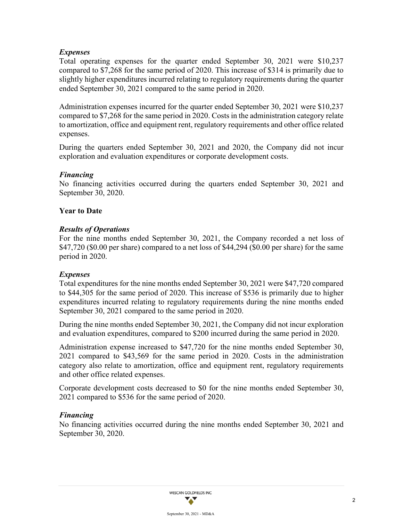### *Expenses*

Total operating expenses for the quarter ended September 30, 2021 were \$10,237 compared to \$7,268 for the same period of 2020. This increase of \$314 is primarily due to slightly higher expenditures incurred relating to regulatory requirements during the quarter ended September 30, 2021 compared to the same period in 2020.

Administration expenses incurred for the quarter ended September 30, 2021 were \$10,237 compared to \$7,268 for the same period in 2020. Costs in the administration category relate to amortization, office and equipment rent, regulatory requirements and other office related expenses.

During the quarters ended September 30, 2021 and 2020, the Company did not incur exploration and evaluation expenditures or corporate development costs.

### *Financing*

No financing activities occurred during the quarters ended September 30, 2021 and September 30, 2020.

### **Year to Date**

### *Results of Operations*

For the nine months ended September 30, 2021, the Company recorded a net loss of \$47,720 (\$0.00 per share) compared to a net loss of \$44,294 (\$0.00 per share) for the same period in 2020.

### *Expenses*

Total expenditures for the nine months ended September 30, 2021 were \$47,720 compared to \$44,305 for the same period of 2020. This increase of \$536 is primarily due to higher expenditures incurred relating to regulatory requirements during the nine months ended September 30, 2021 compared to the same period in 2020.

During the nine months ended September 30, 2021, the Company did not incur exploration and evaluation expenditures, compared to \$200 incurred during the same period in 2020.

Administration expense increased to \$47,720 for the nine months ended September 30, 2021 compared to \$43,569 for the same period in 2020. Costs in the administration category also relate to amortization, office and equipment rent, regulatory requirements and other office related expenses.

Corporate development costs decreased to \$0 for the nine months ended September 30, 2021 compared to \$536 for the same period of 2020.

### *Financing*

No financing activities occurred during the nine months ended September 30, 2021 and September 30, 2020.

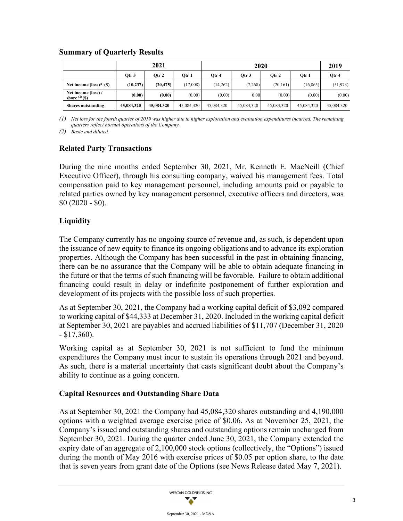### **Summary of Quarterly Results**

|                                       |            | 2021       |            |            | 2019       |            |            |            |
|---------------------------------------|------------|------------|------------|------------|------------|------------|------------|------------|
|                                       | Otr 3      | Otr 2      | Otr 1      | Otr 4      | Otr 3      | Otr 2      | Otr 1      | Otr 4      |
| Net income $(logs)^{(1)}(\$)$         | (10, 237)  | (20, 475)  | (17,008)   | (14,262)   | (7,268)    | (20, 161)  | (16, 865)  | (51, 973)  |
| Net income (loss) /<br>share $(2)(s)$ | (0.00)     | (0.00)     | (0.00)     | (0.00)     | 0.00       | (0.00)     | (0.00)     | (0.00)     |
| <b>Shares outstanding</b>             | 45,084,320 | 45,084,320 | 45,084,320 | 45,084,320 | 45,084,320 | 45,084,320 | 45,084,320 | 45,084,320 |

*(1) Net loss for the fourth quarter of 2019 was higher due to higher exploration and evaluation expenditures incurred. The remaining quarters reflect normal operations of the Company.*

*(2) Basic and diluted.* 

### **Related Party Transactions**

During the nine months ended September 30, 2021, Mr. Kenneth E. MacNeill (Chief Executive Officer), through his consulting company, waived his management fees. Total compensation paid to key management personnel, including amounts paid or payable to related parties owned by key management personnel, executive officers and directors, was \$0 (2020 - \$0).

### **Liquidity**

The Company currently has no ongoing source of revenue and, as such, is dependent upon the issuance of new equity to finance its ongoing obligations and to advance its exploration properties. Although the Company has been successful in the past in obtaining financing, there can be no assurance that the Company will be able to obtain adequate financing in the future or that the terms of such financing will be favorable. Failure to obtain additional financing could result in delay or indefinite postponement of further exploration and development of its projects with the possible loss of such properties.

As at September 30, 2021, the Company had a working capital deficit of \$3,092 compared to working capital of \$44,333 at December 31, 2020. Included in the working capital deficit at September 30, 2021 are payables and accrued liabilities of \$11,707 (December 31, 2020 - \$17,360).

Working capital as at September 30, 2021 is not sufficient to fund the minimum expenditures the Company must incur to sustain its operations through 2021 and beyond. As such, there is a material uncertainty that casts significant doubt about the Company's ability to continue as a going concern.

### **Capital Resources and Outstanding Share Data**

As at September 30, 2021 the Company had 45,084,320 shares outstanding and 4,190,000 options with a weighted average exercise price of \$0.06. As at November 25, 2021, the Company's issued and outstanding shares and outstanding options remain unchanged from September 30, 2021. During the quarter ended June 30, 2021, the Company extended the expiry date of an aggregate of 2,100,000 stock options (collectively, the "Options") issued during the month of May 2016 with exercise prices of \$0.05 per option share, to the date that is seven years from grant date of the Options (see News Release dated May 7, 2021).

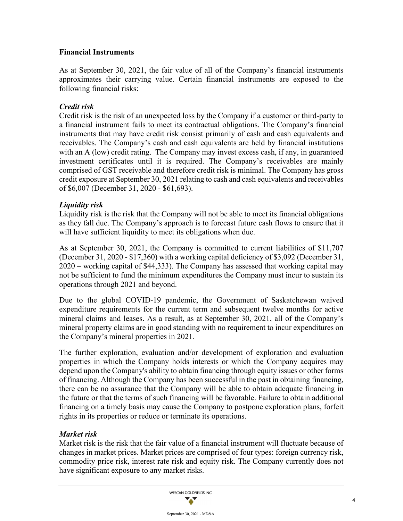### **Financial Instruments**

As at September 30, 2021, the fair value of all of the Company's financial instruments approximates their carrying value. Certain financial instruments are exposed to the following financial risks:

### *Credit risk*

Credit risk is the risk of an unexpected loss by the Company if a customer or third-party to a financial instrument fails to meet its contractual obligations. The Company's financial instruments that may have credit risk consist primarily of cash and cash equivalents and receivables. The Company's cash and cash equivalents are held by financial institutions with an A (low) credit rating. The Company may invest excess cash, if any, in guaranteed investment certificates until it is required. The Company's receivables are mainly comprised of GST receivable and therefore credit risk is minimal. The Company has gross credit exposure at September 30, 2021 relating to cash and cash equivalents and receivables of \$6,007 (December 31, 2020 - \$61,693).

### *Liquidity risk*

Liquidity risk is the risk that the Company will not be able to meet its financial obligations as they fall due. The Company's approach is to forecast future cash flows to ensure that it will have sufficient liquidity to meet its obligations when due.

As at September 30, 2021, the Company is committed to current liabilities of \$11,707 (December 31, 2020 - \$17,360) with a working capital deficiency of \$3,092 (December 31, 2020 – working capital of \$44,333). The Company has assessed that working capital may not be sufficient to fund the minimum expenditures the Company must incur to sustain its operations through 2021 and beyond.

Due to the global COVID-19 pandemic, the Government of Saskatchewan waived expenditure requirements for the current term and subsequent twelve months for active mineral claims and leases. As a result, as at September 30, 2021, all of the Company's mineral property claims are in good standing with no requirement to incur expenditures on the Company's mineral properties in 2021.

The further exploration, evaluation and/or development of exploration and evaluation properties in which the Company holds interests or which the Company acquires may depend upon the Company's ability to obtain financing through equity issues or other forms of financing. Although the Company has been successful in the past in obtaining financing, there can be no assurance that the Company will be able to obtain adequate financing in the future or that the terms of such financing will be favorable. Failure to obtain additional financing on a timely basis may cause the Company to postpone exploration plans, forfeit rights in its properties or reduce or terminate its operations.

### *Market risk*

Market risk is the risk that the fair value of a financial instrument will fluctuate because of changes in market prices. Market prices are comprised of four types: foreign currency risk, commodity price risk, interest rate risk and equity risk. The Company currently does not have significant exposure to any market risks.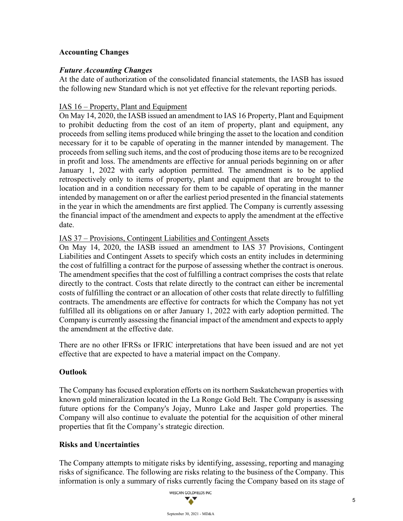### **Accounting Changes**

### *Future Accounting Changes*

At the date of authorization of the consolidated financial statements, the IASB has issued the following new Standard which is not yet effective for the relevant reporting periods.

### IAS 16 – Property, Plant and Equipment

On May 14, 2020, the IASB issued an amendment to IAS 16 Property, Plant and Equipment to prohibit deducting from the cost of an item of property, plant and equipment, any proceeds from selling items produced while bringing the asset to the location and condition necessary for it to be capable of operating in the manner intended by management. The proceeds from selling such items, and the cost of producing those items are to be recognized in profit and loss. The amendments are effective for annual periods beginning on or after January 1, 2022 with early adoption permitted. The amendment is to be applied retrospectively only to items of property, plant and equipment that are brought to the location and in a condition necessary for them to be capable of operating in the manner intended by management on or after the earliest period presented in the financial statements in the year in which the amendments are first applied. The Company is currently assessing the financial impact of the amendment and expects to apply the amendment at the effective date.

### IAS 37 – Provisions, Contingent Liabilities and Contingent Assets

On May 14, 2020, the IASB issued an amendment to IAS 37 Provisions, Contingent Liabilities and Contingent Assets to specify which costs an entity includes in determining the cost of fulfilling a contract for the purpose of assessing whether the contract is onerous. The amendment specifies that the cost of fulfilling a contract comprises the costs that relate directly to the contract. Costs that relate directly to the contract can either be incremental costs of fulfilling the contract or an allocation of other costs that relate directly to fulfilling contracts. The amendments are effective for contracts for which the Company has not yet fulfilled all its obligations on or after January 1, 2022 with early adoption permitted. The Company is currently assessing the financial impact of the amendment and expects to apply the amendment at the effective date.

There are no other IFRSs or IFRIC interpretations that have been issued and are not yet effective that are expected to have a material impact on the Company.

### **Outlook**

The Company has focused exploration efforts on its northern Saskatchewan properties with known gold mineralization located in the La Ronge Gold Belt. The Company is assessing future options for the Company's Jojay, Munro Lake and Jasper gold properties. The Company will also continue to evaluate the potential for the acquisition of other mineral properties that fit the Company's strategic direction.

### **Risks and Uncertainties**

The Company attempts to mitigate risks by identifying, assessing, reporting and managing risks of significance. The following are risks relating to the business of the Company. This information is only a summary of risks currently facing the Company based on its stage of

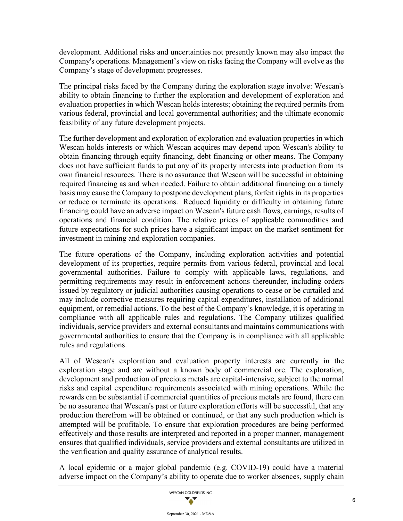development. Additional risks and uncertainties not presently known may also impact the Company's operations. Management's view on risks facing the Company will evolve as the Company's stage of development progresses.

The principal risks faced by the Company during the exploration stage involve: Wescan's ability to obtain financing to further the exploration and development of exploration and evaluation properties in which Wescan holds interests; obtaining the required permits from various federal, provincial and local governmental authorities; and the ultimate economic feasibility of any future development projects.

The further development and exploration of exploration and evaluation properties in which Wescan holds interests or which Wescan acquires may depend upon Wescan's ability to obtain financing through equity financing, debt financing or other means. The Company does not have sufficient funds to put any of its property interests into production from its own financial resources. There is no assurance that Wescan will be successful in obtaining required financing as and when needed. Failure to obtain additional financing on a timely basis may cause the Company to postpone development plans, forfeit rights in its properties or reduce or terminate its operations. Reduced liquidity or difficulty in obtaining future financing could have an adverse impact on Wescan's future cash flows, earnings, results of operations and financial condition. The relative prices of applicable commodities and future expectations for such prices have a significant impact on the market sentiment for investment in mining and exploration companies.

The future operations of the Company, including exploration activities and potential development of its properties, require permits from various federal, provincial and local governmental authorities. Failure to comply with applicable laws, regulations, and permitting requirements may result in enforcement actions thereunder, including orders issued by regulatory or judicial authorities causing operations to cease or be curtailed and may include corrective measures requiring capital expenditures, installation of additional equipment, or remedial actions. To the best of the Company's knowledge, it is operating in compliance with all applicable rules and regulations. The Company utilizes qualified individuals, service providers and external consultants and maintains communications with governmental authorities to ensure that the Company is in compliance with all applicable rules and regulations.

All of Wescan's exploration and evaluation property interests are currently in the exploration stage and are without a known body of commercial ore. The exploration, development and production of precious metals are capital-intensive, subject to the normal risks and capital expenditure requirements associated with mining operations. While the rewards can be substantial if commercial quantities of precious metals are found, there can be no assurance that Wescan's past or future exploration efforts will be successful, that any production therefrom will be obtained or continued, or that any such production which is attempted will be profitable. To ensure that exploration procedures are being performed effectively and those results are interpreted and reported in a proper manner, management ensures that qualified individuals, service providers and external consultants are utilized in the verification and quality assurance of analytical results.

A local epidemic or a major global pandemic (e.g. COVID-19) could have a material adverse impact on the Company's ability to operate due to worker absences, supply chain

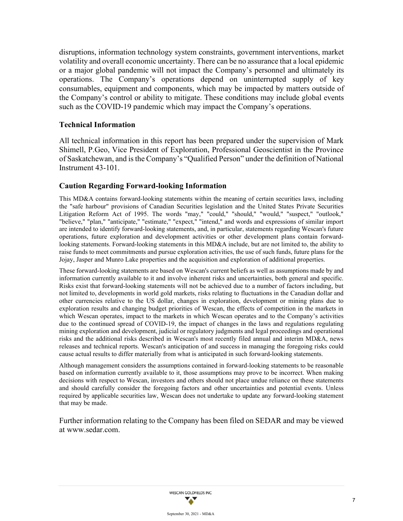disruptions, information technology system constraints, government interventions, market volatility and overall economic uncertainty. There can be no assurance that a local epidemic or a major global pandemic will not impact the Company's personnel and ultimately its operations. The Company's operations depend on uninterrupted supply of key consumables, equipment and components, which may be impacted by matters outside of the Company's control or ability to mitigate. These conditions may include global events such as the COVID-19 pandemic which may impact the Company's operations.

### **Technical Information**

All technical information in this report has been prepared under the supervision of Mark Shimell, P.Geo, Vice President of Exploration, Professional Geoscientist in the Province of Saskatchewan, and is the Company's "Qualified Person" under the definition of National Instrument 43-101.

### **Caution Regarding Forward-looking Information**

This MD&A contains forward-looking statements within the meaning of certain securities laws, including the "safe harbour" provisions of Canadian Securities legislation and the United States Private Securities Litigation Reform Act of 1995. The words "may," "could," "should," "would," "suspect," "outlook," "believe," "plan," "anticipate," "estimate," "expect," "intend," and words and expressions of similar import are intended to identify forward-looking statements, and, in particular, statements regarding Wescan's future operations, future exploration and development activities or other development plans contain forwardlooking statements. Forward-looking statements in this MD&A include, but are not limited to, the ability to raise funds to meet commitments and pursue exploration activities, the use of such funds, future plans for the Jojay, Jasper and Munro Lake properties and the acquisition and exploration of additional properties.

These forward-looking statements are based on Wescan's current beliefs as well as assumptions made by and information currently available to it and involve inherent risks and uncertainties, both general and specific. Risks exist that forward-looking statements will not be achieved due to a number of factors including, but not limited to, developments in world gold markets, risks relating to fluctuations in the Canadian dollar and other currencies relative to the US dollar, changes in exploration, development or mining plans due to exploration results and changing budget priorities of Wescan, the effects of competition in the markets in which Wescan operates, impact to the markets in which Wescan operates and to the Company's activities due to the continued spread of COVID-19, the impact of changes in the laws and regulations regulating mining exploration and development, judicial or regulatory judgments and legal proceedings and operational risks and the additional risks described in Wescan's most recently filed annual and interim MD&A, news releases and technical reports. Wescan's anticipation of and success in managing the foregoing risks could cause actual results to differ materially from what is anticipated in such forward-looking statements.

Although management considers the assumptions contained in forward-looking statements to be reasonable based on information currently available to it, those assumptions may prove to be incorrect. When making decisions with respect to Wescan, investors and others should not place undue reliance on these statements and should carefully consider the foregoing factors and other uncertainties and potential events. Unless required by applicable securities law, Wescan does not undertake to update any forward-looking statement that may be made.

Further information relating to the Company has been filed on SEDAR and may be viewed at [www.sedar.com.](http://www.sedar.com/)

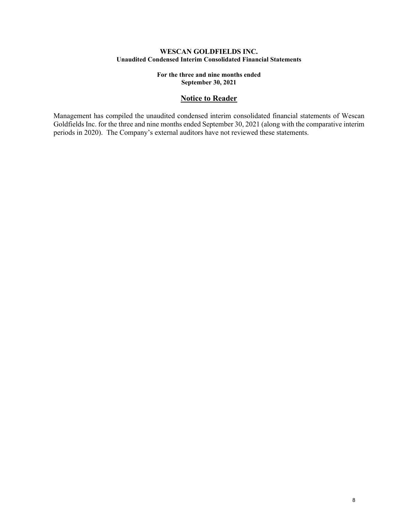#### **WESCAN GOLDFIELDS INC. Unaudited Condensed Interim Consolidated Financial Statements**

**For the three and nine months ended September 30, 2021**

### **Notice to Reader**

Management has compiled the unaudited condensed interim consolidated financial statements of Wescan Goldfields Inc. for the three and nine months ended September 30, 2021 (along with the comparative interim periods in 2020). The Company's external auditors have not reviewed these statements.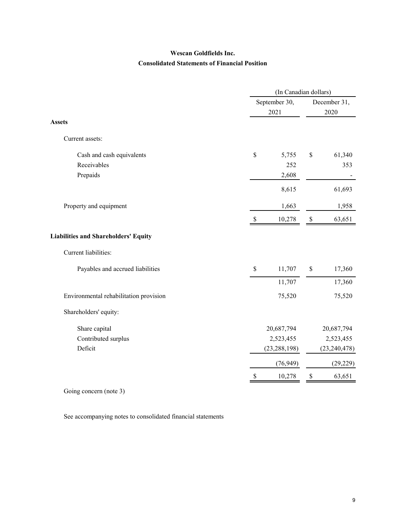# **Wescan Goldfields Inc. Consolidated Statements of Financial Position**

|                                             | (In Canadian dollars) |                |      |                      |  |  |
|---------------------------------------------|-----------------------|----------------|------|----------------------|--|--|
|                                             | September 30,<br>2021 |                |      | December 31,<br>2020 |  |  |
|                                             |                       |                |      |                      |  |  |
| <b>Assets</b>                               |                       |                |      |                      |  |  |
| Current assets:                             |                       |                |      |                      |  |  |
| Cash and cash equivalents                   | \$                    | 5,755          | \$   | 61,340               |  |  |
| Receivables                                 |                       | 252            |      | 353                  |  |  |
| Prepaids                                    |                       | 2,608          |      |                      |  |  |
|                                             |                       | 8,615          |      | 61,693               |  |  |
| Property and equipment                      |                       | 1,663          |      | 1,958                |  |  |
|                                             | <sup>\$</sup>         | 10,278         | \$   | 63,651               |  |  |
| <b>Liabilities and Shareholders' Equity</b> |                       |                |      |                      |  |  |
| Current liabilities:                        |                       |                |      |                      |  |  |
| Payables and accrued liabilities            | $\$$                  | 11,707         | $\$$ | 17,360               |  |  |
|                                             |                       | 11,707         |      | 17,360               |  |  |
| Environmental rehabilitation provision      |                       | 75,520         |      | 75,520               |  |  |
| Shareholders' equity:                       |                       |                |      |                      |  |  |
| Share capital                               |                       | 20,687,794     |      | 20,687,794           |  |  |
| Contributed surplus                         |                       | 2,523,455      |      | 2,523,455            |  |  |
| Deficit                                     |                       | (23, 288, 198) |      | (23, 240, 478)       |  |  |
|                                             |                       | (76, 949)      |      | (29, 229)            |  |  |
|                                             | $\mathbb{S}$          | 10,278         | \$   | 63,651               |  |  |

Going concern (note 3)

See accompanying notes to consolidated financial statements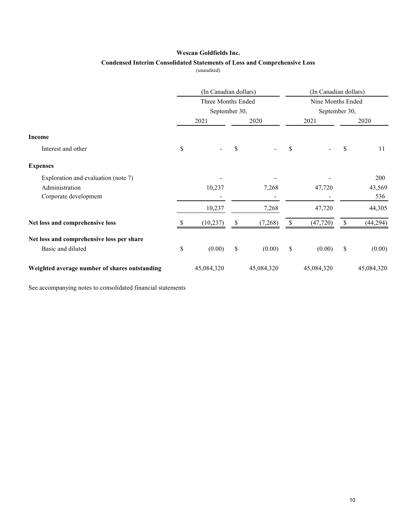#### **Wescan Goldfields Inc.**

### **Condensed Interim Consolidated Statements of Loss and Comprehensive Loss**

(unaudited)

|                                               | (In Canadian dollars)<br>Three Months Ended |            |    |            | (In Canadian dollars)<br>Nine Months Ended<br>September 30, |            |             |            |
|-----------------------------------------------|---------------------------------------------|------------|----|------------|-------------------------------------------------------------|------------|-------------|------------|
|                                               |                                             |            |    |            |                                                             |            |             |            |
|                                               | September 30,                               |            |    |            |                                                             |            |             |            |
|                                               |                                             | 2021       |    | 2020       |                                                             | 2021       |             | 2020       |
| <b>Income</b>                                 |                                             |            |    |            |                                                             |            |             |            |
| Interest and other                            | \$                                          |            | \$ |            | \$                                                          |            | \$          | 11         |
| <b>Expenses</b>                               |                                             |            |    |            |                                                             |            |             |            |
| Exploration and evaluation (note 7)           |                                             |            |    |            |                                                             |            |             | 200        |
| Administration                                |                                             | 10,237     |    | 7,268      |                                                             | 47,720     |             | 43,569     |
| Corporate development                         |                                             |            |    |            |                                                             |            |             | 536        |
|                                               |                                             | 10,237     |    | 7,268      |                                                             | 47,720     |             | 44,305     |
| Net loss and comprehensive loss               |                                             | (10, 237)  | S  | (7,268)    | \$                                                          | (47, 720)  | $\mathbf S$ | (44, 294)  |
| Net loss and comprehensive loss per share     |                                             |            |    |            |                                                             |            |             |            |
| Basic and diluted                             | \$                                          | (0.00)     | \$ | (0.00)     | \$                                                          | (0.00)     | $\mathbb S$ | (0.00)     |
| Weighted average number of shares outstanding |                                             | 45,084,320 |    | 45,084,320 |                                                             | 45,084,320 |             | 45,084,320 |

See accompanying notes to consolidated financial statements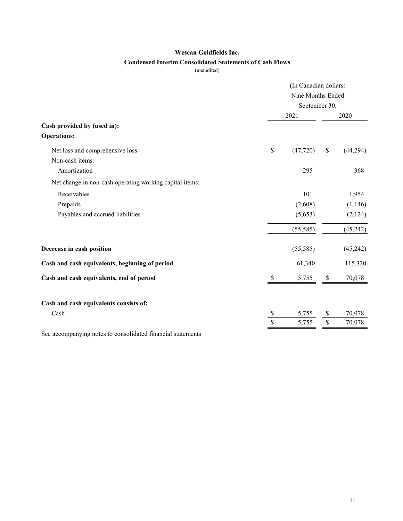### **Wescan Goldfields Inc.**

### **Condensed Interim Consolidated Statements of Cash Flows**

(unaudited)

|                                                             | (In Canadian dollars)<br>Nine Months Ended<br>September 30, |           |      |           |  |
|-------------------------------------------------------------|-------------------------------------------------------------|-----------|------|-----------|--|
|                                                             |                                                             | 2021      |      | 2020      |  |
| Cash provided by (used in):<br><b>Operations:</b>           |                                                             |           |      |           |  |
|                                                             |                                                             |           |      |           |  |
| Net loss and comprehensive loss                             | \$                                                          | (47, 720) | $\$$ | (44,294)  |  |
| Non-cash items:                                             |                                                             |           |      |           |  |
| Amortization                                                |                                                             | 295       |      | 368       |  |
| Net change in non-cash operating working capital items:     |                                                             |           |      |           |  |
| Receivables                                                 |                                                             | 101       |      | 1,954     |  |
| Prepaids                                                    |                                                             | (2,608)   |      | (1,146)   |  |
| Payables and accrued liabilities                            |                                                             | (5,653)   |      | (2,124)   |  |
|                                                             |                                                             | (55, 585) |      | (45, 242) |  |
| Decrease in cash position                                   |                                                             | (55, 585) |      | (45,242)  |  |
| Cash and cash equivalents, beginning of period              |                                                             | 61,340    |      | 115,320   |  |
| Cash and cash equivalents, end of period                    | S                                                           | 5,755     | \$   | 70,078    |  |
| Cash and cash equivalents consists of:                      |                                                             |           |      |           |  |
| Cash                                                        | \$                                                          | 5,755     | \$   | 70,078    |  |
|                                                             | \$                                                          | 5,755     | \$   | 70,078    |  |
| See accompanying notes to consolidated financial statements |                                                             |           |      |           |  |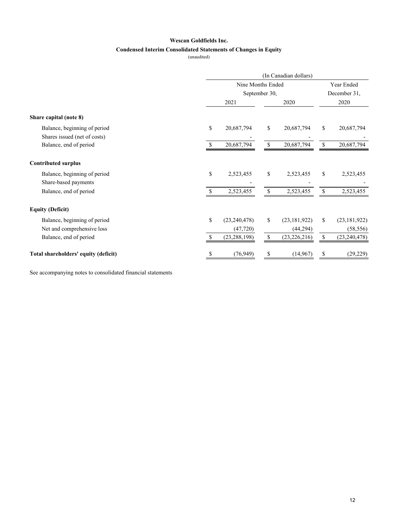# **Wescan Goldfields Inc.**

### **Condensed Interim Consolidated Statements of Changes in Equity**

(unaudited)

|                                      | (In Canadian dollars) |                |               |                |               |                |  |  |
|--------------------------------------|-----------------------|----------------|---------------|----------------|---------------|----------------|--|--|
|                                      |                       | Year Ended     |               |                |               |                |  |  |
|                                      | September 30,         |                |               |                |               | December 31,   |  |  |
|                                      | 2021                  |                | 2020          |                | 2020          |                |  |  |
| Share capital (note 8)               |                       |                |               |                |               |                |  |  |
| Balance, beginning of period         | \$                    | 20,687,794     | \$            | 20,687,794     | <sup>\$</sup> | 20,687,794     |  |  |
| Shares issued (net of costs)         |                       |                |               |                |               |                |  |  |
| Balance, end of period               |                       | 20,687,794     | <sup>\$</sup> | 20,687,794     | \$            | 20,687,794     |  |  |
| <b>Contributed surplus</b>           |                       |                |               |                |               |                |  |  |
| Balance, beginning of period         | \$                    | 2,523,455      | \$            | 2,523,455      | \$            | 2,523,455      |  |  |
| Share-based payments                 |                       |                |               |                |               |                |  |  |
| Balance, end of period               |                       | 2,523,455      | \$            | 2,523,455      | \$            | 2,523,455      |  |  |
| <b>Equity (Deficit)</b>              |                       |                |               |                |               |                |  |  |
| Balance, beginning of period         | \$                    | (23, 240, 478) | \$            | (23, 181, 922) | \$            | (23, 181, 922) |  |  |
| Net and comprehensive loss           |                       | (47, 720)      |               | (44,294)       |               | (58, 556)      |  |  |
| Balance, end of period               |                       | (23, 288, 198) | \$            | (23, 226, 216) |               | (23, 240, 478) |  |  |
| Total shareholders' equity (deficit) | \$                    | (76, 949)      | \$            | (14, 967)      | \$            | (29, 229)      |  |  |

See accompanying notes to consolidated financial statements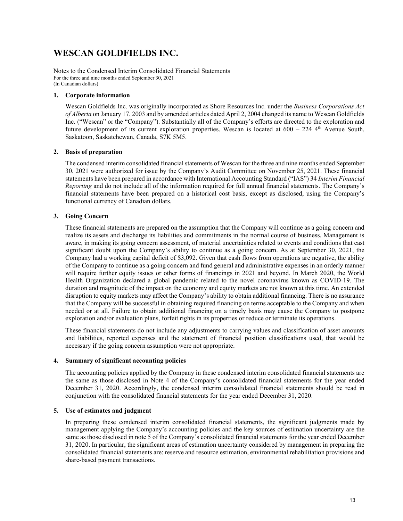# **WESCAN GOLDFIELDS INC.**

Notes to the Condensed Interim Consolidated Financial Statements For the three and nine months ended September 30, 2021 (In Canadian dollars)

#### **1. Corporate information**

Wescan Goldfields Inc. was originally incorporated as Shore Resources Inc. under the *Business Corporations Act of Alberta* on January 17, 2003 and by amended articles dated April 2, 2004 changed its name to Wescan Goldfields Inc. ("Wescan" or the "Company"). Substantially all of the Company's efforts are directed to the exploration and future development of its current exploration properties. Wescan is located at  $600 - 224$  4<sup>th</sup> Avenue South, Saskatoon, Saskatchewan, Canada, S7K 5M5.

#### **2. Basis of preparation**

The condensed interim consolidated financial statements of Wescan for the three and nine months ended September 30, 2021 were authorized for issue by the Company's Audit Committee on November 25, 2021. These financial statements have been prepared in accordance with International Accounting Standard ("IAS") 34 *Interim Financial Reporting* and do not include all of the information required for full annual financial statements. The Company's financial statements have been prepared on a historical cost basis, except as disclosed, using the Company's functional currency of Canadian dollars.

#### **3. Going Concern**

These financial statements are prepared on the assumption that the Company will continue as a going concern and realize its assets and discharge its liabilities and commitments in the normal course of business. Management is aware, in making its going concern assessment, of material uncertainties related to events and conditions that cast significant doubt upon the Company's ability to continue as a going concern. As at September 30, 2021, the Company had a working capital deficit of \$3,092. Given that cash flows from operations are negative, the ability of the Company to continue as a going concern and fund general and administrative expenses in an orderly manner will require further equity issues or other forms of financings in 2021 and beyond. In March 2020, the World Health Organization declared a global pandemic related to the novel coronavirus known as COVID-19. The duration and magnitude of the impact on the economy and equity markets are not known at this time. An extended disruption to equity markets may affect the Company's ability to obtain additional financing. There is no assurance that the Company will be successful in obtaining required financing on terms acceptable to the Company and when needed or at all. Failure to obtain additional financing on a timely basis may cause the Company to postpone exploration and/or evaluation plans, forfeit rights in its properties or reduce or terminate its operations.

These financial statements do not include any adjustments to carrying values and classification of asset amounts and liabilities, reported expenses and the statement of financial position classifications used, that would be necessary if the going concern assumption were not appropriate.

#### **4. Summary of significant accounting policies**

The accounting policies applied by the Company in these condensed interim consolidated financial statements are the same as those disclosed in Note 4 of the Company's consolidated financial statements for the year ended December 31, 2020. Accordingly, the condensed interim consolidated financial statements should be read in conjunction with the consolidated financial statements for the year ended December 31, 2020.

#### **5. Use of estimates and judgment**

In preparing these condensed interim consolidated financial statements, the significant judgments made by management applying the Company's accounting policies and the key sources of estimation uncertainty are the same as those disclosed in note 5 of the Company's consolidated financial statements for the year ended December 31, 2020. In particular, the significant areas of estimation uncertainty considered by management in preparing the consolidated financial statements are: reserve and resource estimation, environmental rehabilitation provisions and share-based payment transactions.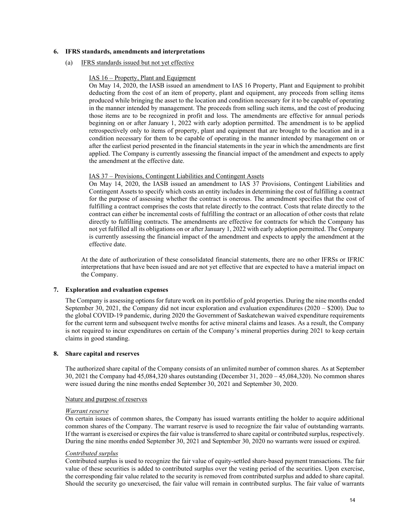#### **6. IFRS standards, amendments and interpretations**

#### (a) IFRS standards issued but not yet effective

#### IAS 16 – Property, Plant and Equipment

On May 14, 2020, the IASB issued an amendment to IAS 16 Property, Plant and Equipment to prohibit deducting from the cost of an item of property, plant and equipment, any proceeds from selling items produced while bringing the asset to the location and condition necessary for it to be capable of operating in the manner intended by management. The proceeds from selling such items, and the cost of producing those items are to be recognized in profit and loss. The amendments are effective for annual periods beginning on or after January 1, 2022 with early adoption permitted. The amendment is to be applied retrospectively only to items of property, plant and equipment that are brought to the location and in a condition necessary for them to be capable of operating in the manner intended by management on or after the earliest period presented in the financial statements in the year in which the amendments are first applied. The Company is currently assessing the financial impact of the amendment and expects to apply the amendment at the effective date.

#### IAS 37 – Provisions, Contingent Liabilities and Contingent Assets

On May 14, 2020, the IASB issued an amendment to IAS 37 Provisions, Contingent Liabilities and Contingent Assets to specify which costs an entity includes in determining the cost of fulfilling a contract for the purpose of assessing whether the contract is onerous. The amendment specifies that the cost of fulfilling a contract comprises the costs that relate directly to the contract. Costs that relate directly to the contract can either be incremental costs of fulfilling the contract or an allocation of other costs that relate directly to fulfilling contracts. The amendments are effective for contracts for which the Company has not yet fulfilled all its obligations on or after January 1, 2022 with early adoption permitted. The Company is currently assessing the financial impact of the amendment and expects to apply the amendment at the effective date.

At the date of authorization of these consolidated financial statements, there are no other IFRSs or IFRIC interpretations that have been issued and are not yet effective that are expected to have a material impact on the Company.

#### **7. Exploration and evaluation expenses**

The Company is assessing options for future work on its portfolio of gold properties. During the nine months ended September 30, 2021, the Company did not incur exploration and evaluation expenditures (2020 – \$200). Due to the global COVID-19 pandemic, during 2020 the Government of Saskatchewan waived expenditure requirements for the current term and subsequent twelve months for active mineral claims and leases. As a result, the Company is not required to incur expenditures on certain of the Company's mineral properties during 2021 to keep certain claims in good standing.

#### **8. Share capital and reserves**

The authorized share capital of the Company consists of an unlimited number of common shares. As at September 30, 2021 the Company had 45,084,320 shares outstanding (December 31, 2020 – 45,084,320). No common shares were issued during the nine months ended September 30, 2021 and September 30, 2020.

#### Nature and purpose of reserves

#### *Warrant reserve*

On certain issues of common shares, the Company has issued warrants entitling the holder to acquire additional common shares of the Company. The warrant reserve is used to recognize the fair value of outstanding warrants. If the warrant is exercised or expires the fair value is transferred to share capital or contributed surplus, respectively. During the nine months ended September 30, 2021 and September 30, 2020 no warrants were issued or expired.

#### *Contributed surplus*

Contributed surplus is used to recognize the fair value of equity-settled share-based payment transactions. The fair value of these securities is added to contributed surplus over the vesting period of the securities. Upon exercise, the corresponding fair value related to the security is removed from contributed surplus and added to share capital. Should the security go unexercised, the fair value will remain in contributed surplus. The fair value of warrants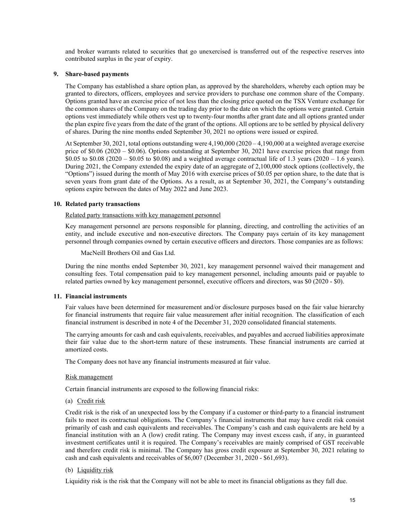and broker warrants related to securities that go unexercised is transferred out of the respective reserves into contributed surplus in the year of expiry.

#### **9. Share-based payments**

The Company has established a share option plan, as approved by the shareholders, whereby each option may be granted to directors, officers, employees and service providers to purchase one common share of the Company. Options granted have an exercise price of not less than the closing price quoted on the TSX Venture exchange for the common shares of the Company on the trading day prior to the date on which the options were granted. Certain options vest immediately while others vest up to twenty-four months after grant date and all options granted under the plan expire five years from the date of the grant of the options. All options are to be settled by physical delivery of shares. During the nine months ended September 30, 2021 no options were issued or expired.

At September 30, 2021, total options outstanding were 4,190,000 (2020 – 4,190,000 at a weighted average exercise price of \$0.06 (2020 – \$0.06). Options outstanding at September 30, 2021 have exercise prices that range from \$0.05 to \$0.08 (2020 – \$0.05 to \$0.08) and a weighted average contractual life of 1.3 years (2020 – 1.6 years). During 2021, the Company extended the expiry date of an aggregate of 2,100,000 stock options (collectively, the "Options") issued during the month of May 2016 with exercise prices of \$0.05 per option share, to the date that is seven years from grant date of the Options. As a result, as at September 30, 2021, the Company's outstanding options expire between the dates of May 2022 and June 2023.

#### **10. Related party transactions**

#### Related party transactions with key management personnel

Key management personnel are persons responsible for planning, directing, and controlling the activities of an entity, and include executive and non-executive directors. The Company pays certain of its key management personnel through companies owned by certain executive officers and directors. Those companies are as follows:

MacNeill Brothers Oil and Gas Ltd.

During the nine months ended September 30, 2021, key management personnel waived their management and consulting fees. Total compensation paid to key management personnel, including amounts paid or payable to related parties owned by key management personnel, executive officers and directors, was \$0 (2020 - \$0).

#### **11. Financial instruments**

Fair values have been determined for measurement and/or disclosure purposes based on the fair value hierarchy for financial instruments that require fair value measurement after initial recognition. The classification of each financial instrument is described in note 4 of the December 31, 2020 consolidated financial statements.

The carrying amounts for cash and cash equivalents, receivables, and payables and accrued liabilities approximate their fair value due to the short-term nature of these instruments. These financial instruments are carried at amortized costs.

The Company does not have any financial instruments measured at fair value.

#### Risk management

Certain financial instruments are exposed to the following financial risks:

#### (a) Credit risk

Credit risk is the risk of an unexpected loss by the Company if a customer or third-party to a financial instrument fails to meet its contractual obligations. The Company's financial instruments that may have credit risk consist primarily of cash and cash equivalents and receivables. The Company's cash and cash equivalents are held by a financial institution with an A (low) credit rating. The Company may invest excess cash, if any, in guaranteed investment certificates until it is required. The Company's receivables are mainly comprised of GST receivable and therefore credit risk is minimal. The Company has gross credit exposure at September 30, 2021 relating to cash and cash equivalents and receivables of \$6,007 (December 31, 2020 - \$61,693).

#### (b) Liquidity risk

Liquidity risk is the risk that the Company will not be able to meet its financial obligations as they fall due.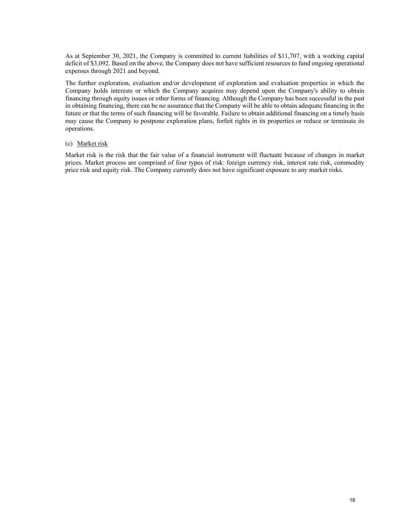As at September 30, 2021, the Company is committed to current liabilities of \$11,707, with a working capital deficit of \$3,092. Based on the above, the Company does not have sufficient resources to fund ongoing operational expenses through 2021 and beyond.

The further exploration, evaluation and/or development of exploration and evaluation properties in which the Company holds interests or which the Company acquires may depend upon the Company's ability to obtain financing through equity issues or other forms of financing. Although the Company has been successful in the past in obtaining financing, there can be no assurance that the Company will be able to obtain adequate financing in the future or that the terms of such financing will be favorable. Failure to obtain additional financing on a timely basis may cause the Company to postpone exploration plans, forfeit rights in its properties or reduce or terminate its operations.

#### (c) Market risk

Market risk is the risk that the fair value of a financial instrument will fluctuate because of changes in market prices. Market process are comprised of four types of risk: foreign currency risk, interest rate risk, commodity price risk and equity risk. The Company currently does not have significant exposure to any market risks.